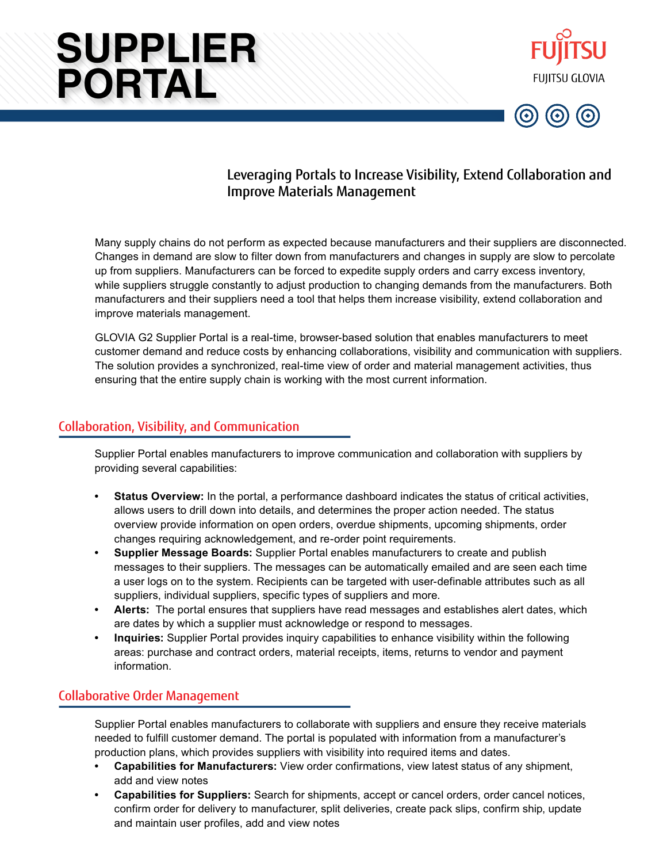# **SUPPLIER PORTAL**





# Leveraging Portals to Increase Visibility, Extend Collaboration and Improve Materials Management

Many supply chains do not perform as expected because manufacturers and their suppliers are disconnected. Changes in demand are slow to filter down from manufacturers and changes in supply are slow to percolate up from suppliers. Manufacturers can be forced to expedite supply orders and carry excess inventory, while suppliers struggle constantly to adjust production to changing demands from the manufacturers. Both manufacturers and their suppliers need a tool that helps them increase visibility, extend collaboration and improve materials management.

GLOVIA G2 Supplier Portal is a real-time, browser-based solution that enables manufacturers to meet customer demand and reduce costs by enhancing collaborations, visibility and communication with suppliers. The solution provides a synchronized, real-time view of order and material management activities, thus ensuring that the entire supply chain is working with the most current information.

# Collaboration, Visibility, and Communication

Supplier Portal enables manufacturers to improve communication and collaboration with suppliers by providing several capabilities:

- **• Status Overview:** In the portal, a performance dashboard indicates the status of critical activities, allows users to drill down into details, and determines the proper action needed. The status overview provide information on open orders, overdue shipments, upcoming shipments, order changes requiring acknowledgement, and re-order point requirements.
- **• Supplier Message Boards:** Supplier Portal enables manufacturers to create and publish messages to their suppliers. The messages can be automatically emailed and are seen each time a user logs on to the system. Recipients can be targeted with user-definable attributes such as all suppliers, individual suppliers, specific types of suppliers and more.
- **• Alerts:** The portal ensures that suppliers have read messages and establishes alert dates, which are dates by which a supplier must acknowledge or respond to messages.
- **• Inquiries:** Supplier Portal provides inquiry capabilities to enhance visibility within the following areas: purchase and contract orders, material receipts, items, returns to vendor and payment information.

## Collaborative Order Management

Supplier Portal enables manufacturers to collaborate with suppliers and ensure they receive materials needed to fulfill customer demand. The portal is populated with information from a manufacturer's production plans, which provides suppliers with visibility into required items and dates.

- **• Capabilities for Manufacturers:** View order confirmations, view latest status of any shipment, add and view notes
- **• Capabilities for Suppliers:** Search for shipments, accept or cancel orders, order cancel notices, confirm order for delivery to manufacturer, split deliveries, create pack slips, confirm ship, update and maintain user profiles, add and view notes